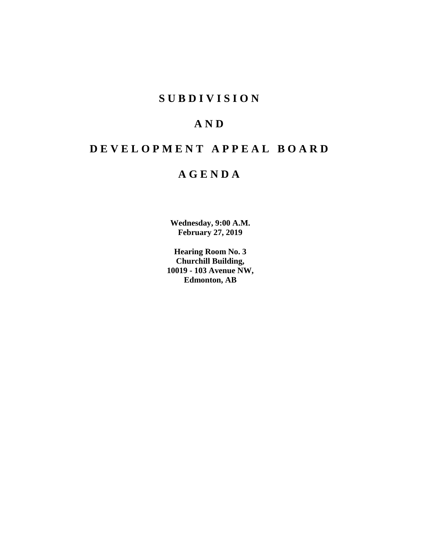# **SUBDIVISION**

# **AND**

# **DEVELOPMENT APPEAL BOARD**

# **AGENDA**

**Wednesday, 9:00 A.M. February 27, 2019**

**Hearing Room No. 3 Churchill Building, 10019 - 103 Avenue NW, Edmonton, AB**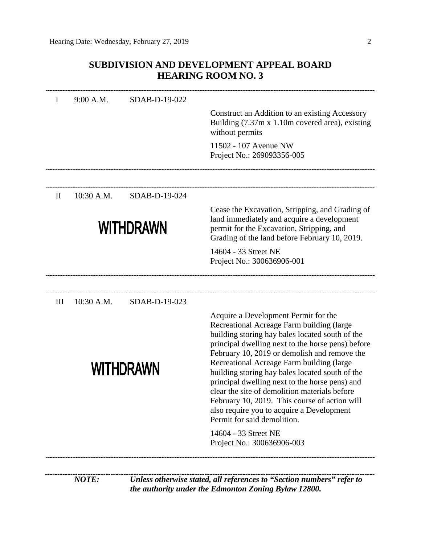# **SUBDIVISION AND DEVELOPMENT APPEAL BOARD HEARING ROOM NO. 3**

| I                | 9:00 A.M.  | SDAB-D-19-022    |                                                                                                                                                                                                                                                                                                                                                                                                                                                                                                                                                                           |  |  |  |  |
|------------------|------------|------------------|---------------------------------------------------------------------------------------------------------------------------------------------------------------------------------------------------------------------------------------------------------------------------------------------------------------------------------------------------------------------------------------------------------------------------------------------------------------------------------------------------------------------------------------------------------------------------|--|--|--|--|
|                  |            |                  | Construct an Addition to an existing Accessory<br>Building (7.37m x 1.10m covered area), existing<br>without permits                                                                                                                                                                                                                                                                                                                                                                                                                                                      |  |  |  |  |
|                  |            |                  | 11502 - 107 Avenue NW<br>Project No.: 269093356-005                                                                                                                                                                                                                                                                                                                                                                                                                                                                                                                       |  |  |  |  |
| $\mathbf{I}$     | 10:30 A.M. | SDAB-D-19-024    |                                                                                                                                                                                                                                                                                                                                                                                                                                                                                                                                                                           |  |  |  |  |
| <b>WITHDRAWN</b> |            |                  | Cease the Excavation, Stripping, and Grading of<br>land immediately and acquire a development<br>permit for the Excavation, Stripping, and<br>Grading of the land before February 10, 2019.                                                                                                                                                                                                                                                                                                                                                                               |  |  |  |  |
|                  |            |                  | 14604 - 33 Street NE<br>Project No.: 300636906-001                                                                                                                                                                                                                                                                                                                                                                                                                                                                                                                        |  |  |  |  |
| III              | 10:30 A.M. | SDAB-D-19-023    |                                                                                                                                                                                                                                                                                                                                                                                                                                                                                                                                                                           |  |  |  |  |
|                  |            | <b>WITHDRAWN</b> | Acquire a Development Permit for the<br>Recreational Acreage Farm building (large<br>building storing hay bales located south of the<br>principal dwelling next to the horse pens) before<br>February 10, 2019 or demolish and remove the<br>Recreational Acreage Farm building (large<br>building storing hay bales located south of the<br>principal dwelling next to the horse pens) and<br>clear the site of demolition materials before<br>February 10, 2019. This course of action will<br>also require you to acquire a Development<br>Permit for said demolition. |  |  |  |  |
|                  |            |                  | 14604 - 33 Street NE<br>Project No.: 300636906-003                                                                                                                                                                                                                                                                                                                                                                                                                                                                                                                        |  |  |  |  |
|                  |            |                  |                                                                                                                                                                                                                                                                                                                                                                                                                                                                                                                                                                           |  |  |  |  |

*NOTE: Unless otherwise stated, all references to "Section numbers" refer to the authority under the Edmonton Zoning Bylaw 12800.*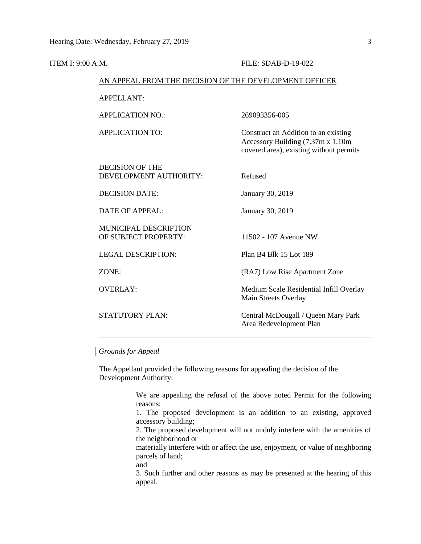| <u>ITEM I: 9:00 A.M.</u> |                                                        | FILE: SDAB-D-19-022                                                                                                   |  |  |  |
|--------------------------|--------------------------------------------------------|-----------------------------------------------------------------------------------------------------------------------|--|--|--|
|                          | AN APPEAL FROM THE DECISION OF THE DEVELOPMENT OFFICER |                                                                                                                       |  |  |  |
|                          | <b>APPELLANT:</b>                                      |                                                                                                                       |  |  |  |
|                          | <b>APPLICATION NO.:</b>                                | 269093356-005                                                                                                         |  |  |  |
|                          | <b>APPLICATION TO:</b>                                 | Construct an Addition to an existing<br>Accessory Building (7.37m x 1.10m)<br>covered area), existing without permits |  |  |  |
|                          | <b>DECISION OF THE</b><br>DEVELOPMENT AUTHORITY:       | Refused                                                                                                               |  |  |  |
|                          | <b>DECISION DATE:</b>                                  | January 30, 2019                                                                                                      |  |  |  |
|                          | <b>DATE OF APPEAL:</b>                                 | January 30, 2019                                                                                                      |  |  |  |
|                          | MUNICIPAL DESCRIPTION<br>OF SUBJECT PROPERTY:          | 11502 - 107 Avenue NW                                                                                                 |  |  |  |
|                          | <b>LEGAL DESCRIPTION:</b>                              | Plan B4 Blk 15 Lot 189                                                                                                |  |  |  |
|                          | ZONE:                                                  | (RA7) Low Rise Apartment Zone                                                                                         |  |  |  |
|                          | <b>OVERLAY:</b>                                        | Medium Scale Residential Infill Overlay<br>Main Streets Overlay                                                       |  |  |  |
|                          | <b>STATUTORY PLAN:</b>                                 | Central McDougall / Queen Mary Park<br>Area Redevelopment Plan                                                        |  |  |  |
|                          |                                                        |                                                                                                                       |  |  |  |

# *Grounds for Appeal*

The Appellant provided the following reasons for appealing the decision of the Development Authority:

> We are appealing the refusal of the above noted Permit for the following reasons:

> 1. The proposed development is an addition to an existing, approved accessory building;

> 2. The proposed development will not unduly interfere with the amenities of the neighborhood or

> materially interfere with or affect the use, enjoyment, or value of neighboring parcels of land;

and

3. Such further and other reasons as may be presented at the hearing of this appeal.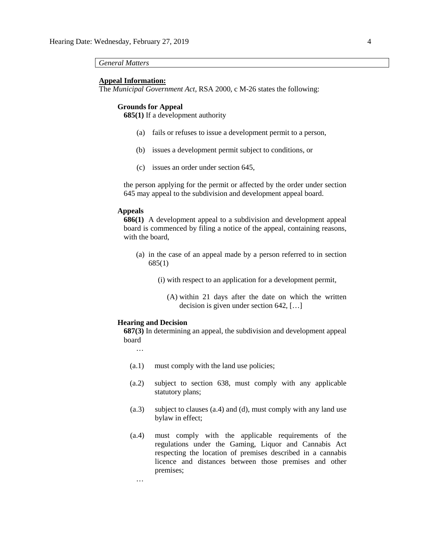*General Matters*

#### **Appeal Information:**

The *Municipal Government Act*, RSA 2000, c M-26 states the following:

#### **Grounds for Appeal**

**685(1)** If a development authority

- (a) fails or refuses to issue a development permit to a person,
- (b) issues a development permit subject to conditions, or
- (c) issues an order under section 645,

the person applying for the permit or affected by the order under section 645 may appeal to the subdivision and development appeal board.

## **Appeals**

**686(1)** A development appeal to a subdivision and development appeal board is commenced by filing a notice of the appeal, containing reasons, with the board,

- (a) in the case of an appeal made by a person referred to in section 685(1)
	- (i) with respect to an application for a development permit,
		- (A) within 21 days after the date on which the written decision is given under section 642, […]

#### **Hearing and Decision**

**687(3)** In determining an appeal, the subdivision and development appeal board

…

…

- (a.1) must comply with the land use policies;
- (a.2) subject to section 638, must comply with any applicable statutory plans;
- (a.3) subject to clauses (a.4) and (d), must comply with any land use bylaw in effect;
- (a.4) must comply with the applicable requirements of the regulations under the Gaming, Liquor and Cannabis Act respecting the location of premises described in a cannabis licence and distances between those premises and other premises;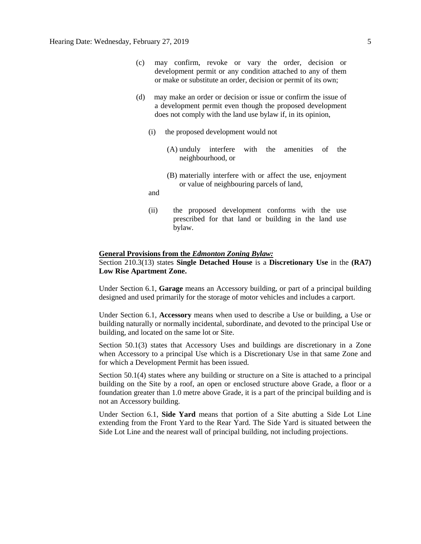- (c) may confirm, revoke or vary the order, decision or development permit or any condition attached to any of them or make or substitute an order, decision or permit of its own;
- (d) may make an order or decision or issue or confirm the issue of a development permit even though the proposed development does not comply with the land use bylaw if, in its opinion,
	- (i) the proposed development would not
		- (A) unduly interfere with the amenities of the neighbourhood, or
		- (B) materially interfere with or affect the use, enjoyment or value of neighbouring parcels of land,
	- and
	- (ii) the proposed development conforms with the use prescribed for that land or building in the land use bylaw.

#### **General Provisions from the** *Edmonton Zoning Bylaw:*

# Section 210.3(13) states **Single Detached House** is a **Discretionary Use** in the **(RA7) Low Rise Apartment Zone.**

Under Section 6.1, **Garage** means an Accessory building, or part of a principal building designed and used primarily for the storage of motor vehicles and includes a carport.

Under Section 6.1, **Accessory** means when used to describe a Use or building, a Use or building naturally or normally incidental, subordinate, and devoted to the principal Use or building, and located on the same lot or Site.

Section 50.1(3) states that Accessory Uses and buildings are discretionary in a Zone when Accessory to a principal Use which is a Discretionary Use in that same Zone and for which a Development Permit has been issued.

Section 50.1(4) states where any building or structure on a Site is attached to a principal building on the Site by a roof, an open or enclosed structure above Grade, a floor or a foundation greater than 1.0 metre above Grade, it is a part of the principal building and is not an Accessory building.

Under Section 6.1, **Side Yard** means that portion of a Site abutting a Side Lot Line extending from the Front Yard to the Rear Yard. The Side Yard is situated between the Side Lot Line and the nearest wall of principal building, not including projections.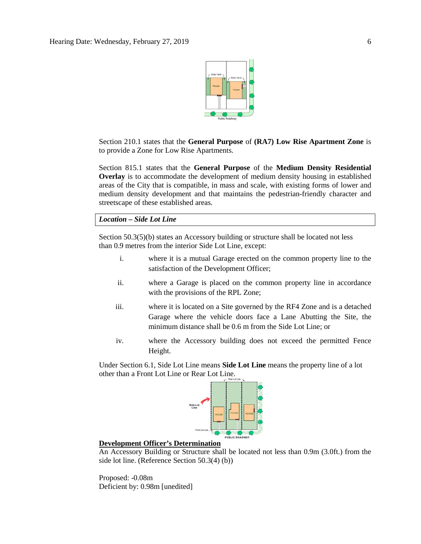

Section 210.1 states that the **General Purpose** of **(RA7) Low Rise Apartment Zone** is to provide a Zone for Low Rise Apartments.

Section 815.1 states that the **General Purpose** of the **Medium Density Residential Overlay** is to accommodate the development of medium density housing in established areas of the City that is compatible, in mass and scale, with existing forms of lower and medium density development and that maintains the pedestrian-friendly character and streetscape of these established areas.

*Location – Side Lot Line*

Section 50.3(5)(b) states an Accessory building or structure shall be located not less than [0.9 me](javascript:void(0);)tres from the interior Side Lot Line, except:

- i. where it is a mutual Garage erected on the common property line to the satisfaction of the Development Officer;
- ii. where a Garage is placed on the common property line in accordance with the provisions of the RPL Zone;
- iii. where it is located on a Site governed by the RF4 Zone and is a detached Garage where the vehicle doors face a Lane Abutting the Site, the minimum distance shall be 0.6 m from the Side Lot Line; or
- iv. where the Accessory building does not exceed the permitted Fence Height.

Under Section 6.1, Side Lot Line means **Side Lot Line** means the property line of a lot other than a Front Lot Line or Rear Lot Line.



## **Development Officer's Determination**

An Accessory Building or Structure shall be located not less than 0.9m (3.0ft.) from the side lot line. (Reference Section 50.3(4) (b))

Proposed: -0.08m Deficient by: 0.98m [unedited]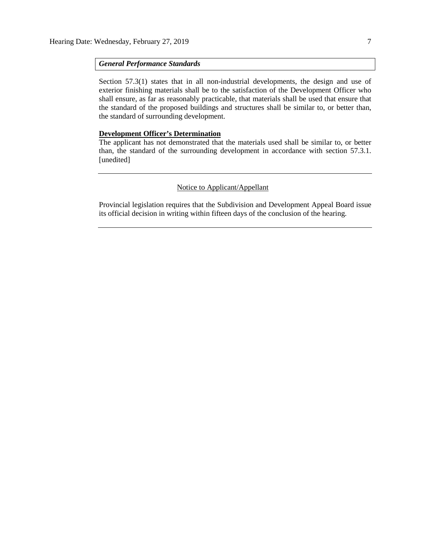## *General Performance Standards*

Section 57.3(1) states that in all non-industrial developments, the design and use of exterior finishing materials shall be to the satisfaction of the Development Officer who shall ensure, as far as reasonably practicable, that materials shall be used that ensure that the standard of the proposed buildings and structures shall be similar to, or better than, the standard of surrounding development.

## **Development Officer's Determination**

The applicant has not demonstrated that the materials used shall be similar to, or better than, the standard of the surrounding development in accordance with section 57.3.1. [unedited]

## Notice to Applicant/Appellant

Provincial legislation requires that the Subdivision and Development Appeal Board issue its official decision in writing within fifteen days of the conclusion of the hearing.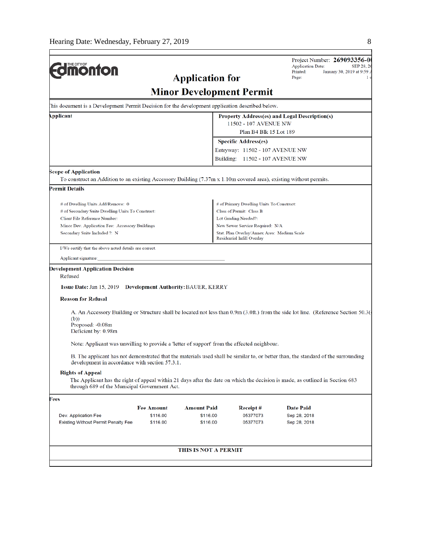$\mathbf{r}$ 

| <b>Umonton</b>                                                                                                     |                   |                                 |                                                                                | Project Number: 269093356-0<br><b>Application Date:</b><br>SEP 28, 20<br>Printed:<br>January 30, 2019 at 9:59 /                     |  |  |  |
|--------------------------------------------------------------------------------------------------------------------|-------------------|---------------------------------|--------------------------------------------------------------------------------|-------------------------------------------------------------------------------------------------------------------------------------|--|--|--|
|                                                                                                                    | Page:<br>1 c      |                                 |                                                                                |                                                                                                                                     |  |  |  |
|                                                                                                                    |                   | <b>Minor Development Permit</b> |                                                                                |                                                                                                                                     |  |  |  |
| This document is a Development Permit Decision for the development application described below.                    |                   |                                 |                                                                                |                                                                                                                                     |  |  |  |
| Applicant                                                                                                          |                   |                                 |                                                                                | Property Address(es) and Legal Description(s)                                                                                       |  |  |  |
|                                                                                                                    |                   |                                 | 11502 - 107 AVENUE NW<br>Plan B4 Blk 15 Lot 189                                |                                                                                                                                     |  |  |  |
|                                                                                                                    |                   |                                 | <b>Specific Address(es)</b>                                                    |                                                                                                                                     |  |  |  |
|                                                                                                                    |                   |                                 | Entryway: 11502 - 107 AVENUE NW                                                |                                                                                                                                     |  |  |  |
|                                                                                                                    |                   |                                 | Building:<br>11502 - 107 AVENUE NW                                             |                                                                                                                                     |  |  |  |
| <b>Scope of Application</b>                                                                                        |                   |                                 |                                                                                |                                                                                                                                     |  |  |  |
| To construct an Addition to an existing Accessory Building (7.37m x 1.10m covered area), existing without permits. |                   |                                 |                                                                                |                                                                                                                                     |  |  |  |
| <b>Permit Details</b>                                                                                              |                   |                                 |                                                                                |                                                                                                                                     |  |  |  |
| # of Dwelling Units Add/Remove: 0                                                                                  |                   |                                 | # of Primary Dwelling Units To Construct:                                      |                                                                                                                                     |  |  |  |
| # of Secondary Suite Dwelling Units To Construct:                                                                  |                   |                                 | Class of Permit: Class B                                                       |                                                                                                                                     |  |  |  |
| Client File Reference Number:                                                                                      |                   |                                 | Lot Grading Needed?:                                                           |                                                                                                                                     |  |  |  |
| Minor Dev. Application Fee: Accessory Buildings<br>Secondary Suite Included ?: N                                   |                   |                                 | New Sewer Service Required: N/A<br>Stat. Plan Overlay/Annex Area: Medium Scale |                                                                                                                                     |  |  |  |
|                                                                                                                    |                   |                                 | Residential Infill Overlay                                                     |                                                                                                                                     |  |  |  |
| I/We certify that the above noted details are correct.                                                             |                   |                                 |                                                                                |                                                                                                                                     |  |  |  |
| Applicant signature:                                                                                               |                   |                                 |                                                                                |                                                                                                                                     |  |  |  |
| <b>Development Application Decision</b>                                                                            |                   |                                 |                                                                                |                                                                                                                                     |  |  |  |
| Refused                                                                                                            |                   |                                 |                                                                                |                                                                                                                                     |  |  |  |
| <b>Issue Date: Jan 15, 2019 Development Authority: BAUER, KERRY</b>                                                |                   |                                 |                                                                                |                                                                                                                                     |  |  |  |
| <b>Reason for Refusal</b>                                                                                          |                   |                                 |                                                                                |                                                                                                                                     |  |  |  |
|                                                                                                                    |                   |                                 |                                                                                | A. An Accessory Building or Structure shall be located not less than 0.9m (3.0ft.) from the side lot line. (Reference Section 50.3( |  |  |  |
| (b)                                                                                                                |                   |                                 |                                                                                |                                                                                                                                     |  |  |  |
| Proposed: -0.08m<br>Deficient by: 0.98m                                                                            |                   |                                 |                                                                                |                                                                                                                                     |  |  |  |
|                                                                                                                    |                   |                                 |                                                                                |                                                                                                                                     |  |  |  |
| Note: Applicant was unwilling to provide a 'letter of support' from the affected neighbour.                        |                   |                                 |                                                                                |                                                                                                                                     |  |  |  |
| development in accordance with section 57.3.1.                                                                     |                   |                                 |                                                                                | B. The applicant has not demonstrated that the materials used shall be similar to, or better than, the standard of the surrounding  |  |  |  |
| <b>Rights of Appeal</b>                                                                                            |                   |                                 |                                                                                |                                                                                                                                     |  |  |  |
| through 689 of the Municipal Government Act.                                                                       |                   |                                 |                                                                                | The Applicant has the right of appeal within 21 days after the date on which the decision is made, as outlined in Section 683       |  |  |  |
| Fees                                                                                                               |                   |                                 |                                                                                |                                                                                                                                     |  |  |  |
|                                                                                                                    | <b>Fee Amount</b> | <b>Amount Paid</b>              | Receipt#                                                                       | <b>Date Paid</b>                                                                                                                    |  |  |  |
| Dev. Application Fee                                                                                               | \$116.00          | \$116.00                        | 05377073                                                                       | Sep 28, 2018                                                                                                                        |  |  |  |
| Existing Without Permit Penalty Fee                                                                                | \$116.00          | \$116.00                        | 05377073                                                                       | Sep 28, 2018                                                                                                                        |  |  |  |
|                                                                                                                    |                   | THIS IS NOT A PERMIT            |                                                                                |                                                                                                                                     |  |  |  |
|                                                                                                                    |                   |                                 |                                                                                |                                                                                                                                     |  |  |  |
|                                                                                                                    |                   |                                 |                                                                                |                                                                                                                                     |  |  |  |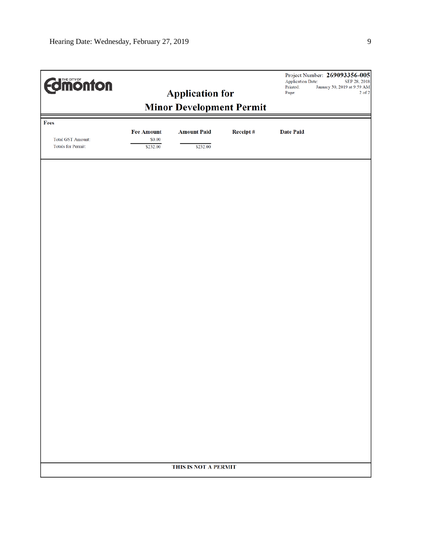| <b>Edition from Settings</b>                                  | <b>Application for</b>                  |                                |          | Printed:<br>Page: | Project Number: 269093356-005<br><b>Application Date:</b><br>SEP 28, 2018<br>January 30, 2019 at 9:59 AM<br>2 of 2 |  |  |  |  |
|---------------------------------------------------------------|-----------------------------------------|--------------------------------|----------|-------------------|--------------------------------------------------------------------------------------------------------------------|--|--|--|--|
| <b>Minor Development Permit</b>                               |                                         |                                |          |                   |                                                                                                                    |  |  |  |  |
| Fees<br><b>Total GST Amount:</b><br><b>Totals for Permit:</b> | <b>Fee Amount</b><br>\$0.00<br>\$232.00 | <b>Amount Paid</b><br>\$232.00 | Receipt# | <b>Date Paid</b>  |                                                                                                                    |  |  |  |  |
|                                                               |                                         |                                |          |                   |                                                                                                                    |  |  |  |  |
|                                                               |                                         |                                |          |                   |                                                                                                                    |  |  |  |  |
|                                                               |                                         |                                |          |                   |                                                                                                                    |  |  |  |  |
|                                                               |                                         |                                |          |                   |                                                                                                                    |  |  |  |  |
|                                                               |                                         |                                |          |                   |                                                                                                                    |  |  |  |  |
|                                                               |                                         |                                |          |                   |                                                                                                                    |  |  |  |  |
|                                                               |                                         | THIS IS NOT A PERMIT           |          |                   |                                                                                                                    |  |  |  |  |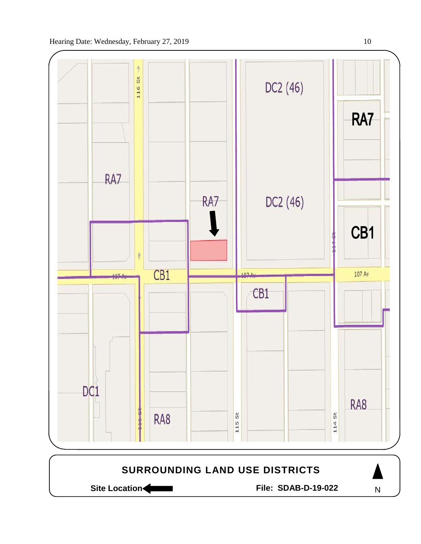

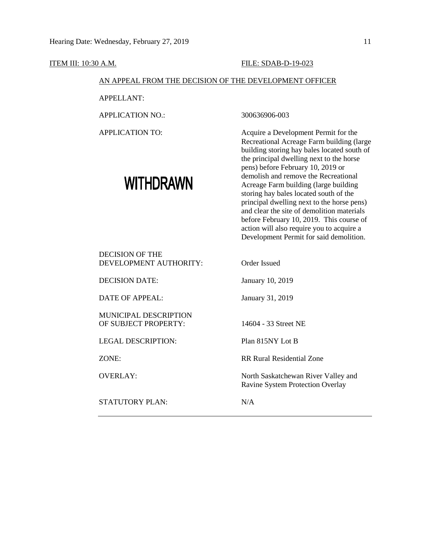ITEM III: 10:30 A.M. FILE: SDAB-D-19-023 AN APPEAL FROM THE DECISION OF THE DEVELOPMENT OFFICER APPELLANT: APPLICATION NO.: 300636906-003 APPLICATION TO: Acquire a Development Permit for the Recreational Acreage Farm building (large building storing hay bales located south of the principal dwelling next to the horse pens) before February 10, 2019 or demolish and remove the Recreational **WITHDRAWN** Acreage Farm building (large building storing hay bales located south of the principal dwelling next to the horse pens) and clear the site of demolition materials before February 10, 2019. This course of action will also require you to acquire a Development Permit for said demolition. DECISION OF THE DEVELOPMENT AUTHORITY: Order Issued DECISION DATE: January 10, 2019 DATE OF APPEAL: January 31, 2019 MUNICIPAL DESCRIPTION OF SUBJECT PROPERTY: 14604 - 33 Street NE LEGAL DESCRIPTION: Plan 815NY Lot B ZONE: RR Rural Residential Zone OVERLAY: North Saskatchewan River Valley and Ravine System Protection Overlay STATUTORY PLAN: N/A